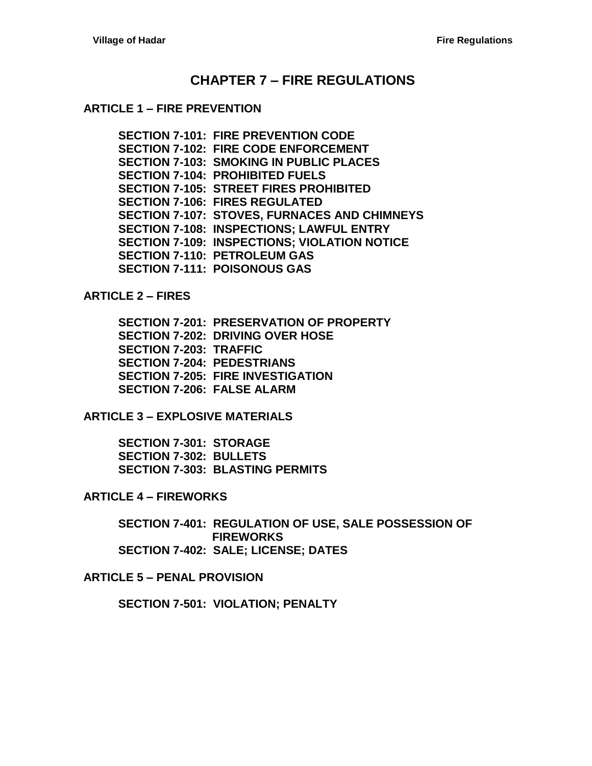## **CHAPTER 7 – [FIRE REGULATIONS](#page-2-0)**

#### **ARTICLE 1 – [FIRE PREVENTION](#page-2-1)**

**[SECTION 7-101: FIRE PREVENTION CODE](#page-2-2) [SECTION 7-102: FIRE CODE ENFORCEMENT](#page-2-3) [SECTION 7-103: SMOKING IN PUBLIC PLACES](#page-2-4) [SECTION 7-104: PROHIBITED FUELS](#page-2-5) [SECTION 7-105: STREET FIRES PROHIBITED](#page-2-6) [SECTION 7-106: FIRES REGULATED](#page-2-7) [SECTION 7-107: STOVES, FURNACES AND CHIMNEYS](#page-3-0) [SECTION 7-108: INSPECTIONS; LAWFUL ENTRY](#page-3-1) [SECTION 7-109: INSPECTIONS; VIOLATION NOTICE](#page-3-2) [SECTION 7-110: PETROLEUM GAS](#page-3-3) [SECTION 7-111: POISONOUS GAS](#page-3-4)**

**[ARTICLE 2 –](#page-4-0) FIRES**

**[SECTION 7-201: PRESERVATION OF PROPERTY](#page-4-1) [SECTION 7-202: DRIVING OVER HOSE](#page-4-2) [SECTION 7-203: TRAFFIC](#page-4-3) [SECTION 7-204: PEDESTRIANS](#page-4-4) [SECTION 7-205: FIRE INVESTIGATION](#page-4-5) [SECTION 7-206: FALSE ALARM](#page-5-0)**

**ARTICLE 3 – [EXPLOSIVE MATERIALS](#page-6-0)**

**[SECTION 7-301: STORAGE](#page-6-1) [SECTION 7-302: BULLETS](#page-6-2) [SECTION 7-303: BLASTING PERMITS](#page-6-3)**

**ARTICLE 4 – [FIREWORKS](#page-8-0)**

**[SECTION 7-401: REGULATION OF USE, SALE POSSESSION](#page-8-1) OF [FIREWORKS](#page-8-1) [SECTION 7-402: SALE; LICENSE;](#page-8-2) DATES**

**ARTICLE 5 – [PENAL PROVISION](#page-10-0)**

**[SECTION 7-501: VIOLATION; PENALTY](#page-10-1)**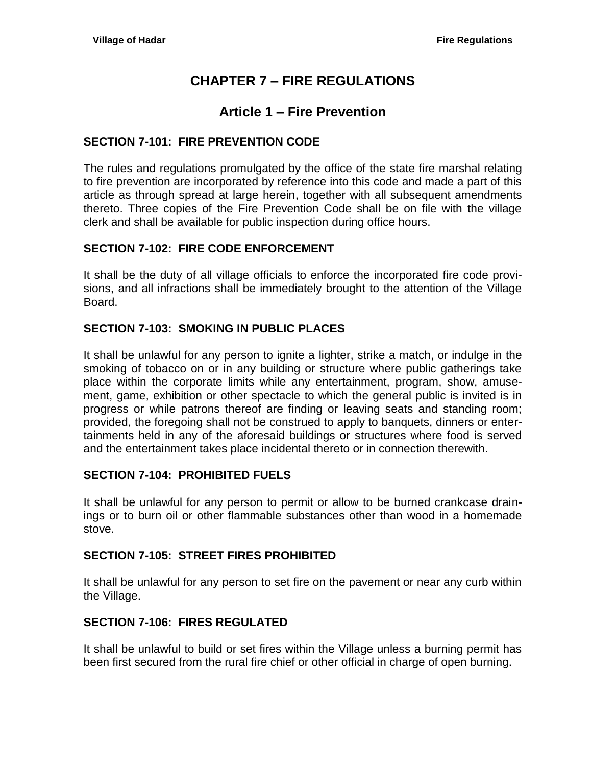# **CHAPTER 7 – FIRE REGULATIONS**

## **Article 1 – Fire Prevention**

## <span id="page-2-2"></span><span id="page-2-1"></span><span id="page-2-0"></span>**SECTION 7-101: FIRE PREVENTION CODE**

The rules and regulations promulgated by the office of the state fire marshal relating to fire prevention are incorporated by reference into this code and made a part of this article as through spread at large herein, together with all subsequent amendments thereto. Three copies of the Fire Prevention Code shall be on file with the village clerk and shall be available for public inspection during office hours.

## <span id="page-2-3"></span>**SECTION 7-102: FIRE CODE ENFORCEMENT**

It shall be the duty of all village officials to enforce the incorporated fire code provisions, and all infractions shall be immediately brought to the attention of the Village Board.

## <span id="page-2-4"></span>**SECTION 7-103: SMOKING IN PUBLIC PLACES**

It shall be unlawful for any person to ignite a lighter, strike a match, or indulge in the smoking of tobacco on or in any building or structure where public gatherings take place within the corporate limits while any entertainment, program, show, amusement, game, exhibition or other spectacle to which the general public is invited is in progress or while patrons thereof are finding or leaving seats and standing room; provided, the foregoing shall not be construed to apply to banquets, dinners or entertainments held in any of the aforesaid buildings or structures where food is served and the entertainment takes place incidental thereto or in connection therewith.

## <span id="page-2-5"></span>**SECTION 7-104: PROHIBITED FUELS**

It shall be unlawful for any person to permit or allow to be burned crankcase drainings or to burn oil or other flammable substances other than wood in a homemade stove.

## <span id="page-2-6"></span>**SECTION 7-105: STREET FIRES PROHIBITED**

It shall be unlawful for any person to set fire on the pavement or near any curb within the Village.

## <span id="page-2-7"></span>**SECTION 7-106: FIRES REGULATED**

It shall be unlawful to build or set fires within the Village unless a burning permit has been first secured from the rural fire chief or other official in charge of open burning.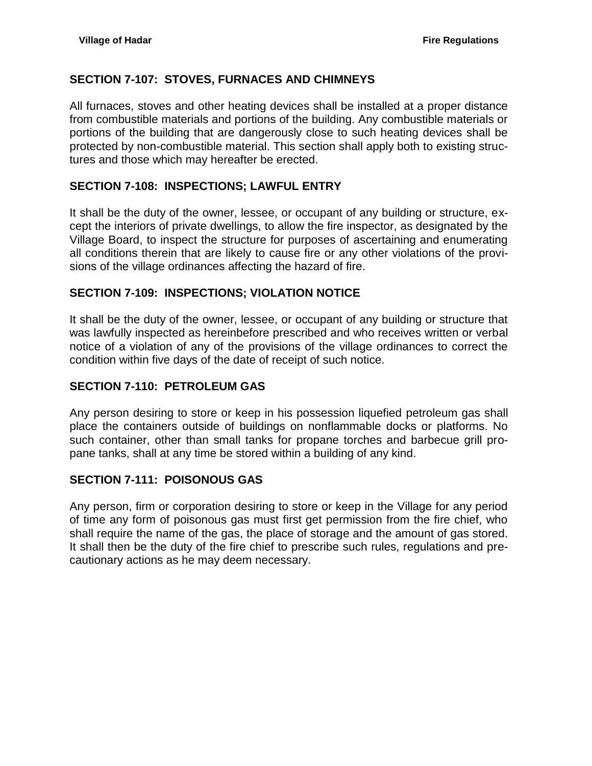## <span id="page-3-0"></span>**SECTION 7-107: STOVES, FURNACES AND CHIMNEYS**

All furnaces, stoves and other heating devices shall be installed at a proper distance from combustible materials and portions of the building. Any combustible materials or portions of the building that are dangerously close to such heating devices shall be protected by non-combustible material. This section shall apply both to existing structures and those which may hereafter be erected.

## <span id="page-3-1"></span>**SECTION 7-108: INSPECTIONS; LAWFUL ENTRY**

It shall be the duty of the owner, lessee, or occupant of any building or structure, except the interiors of private dwellings, to allow the fire inspector, as designated by the Village Board, to inspect the structure for purposes of ascertaining and enumerating all conditions therein that are likely to cause fire or any other violations of the provisions of the village ordinances affecting the hazard of fire.

### <span id="page-3-2"></span>**SECTION 7-109: INSPECTIONS; VIOLATION NOTICE**

It shall be the duty of the owner, lessee, or occupant of any building or structure that was lawfully inspected as hereinbefore prescribed and who receives written or verbal notice of a violation of any of the provisions of the village ordinances to correct the condition within five days of the date of receipt of such notice.

### <span id="page-3-3"></span>**SECTION 7-110: PETROLEUM GAS**

Any person desiring to store or keep in his possession liquefied petroleum gas shall place the containers outside of buildings on nonflammable docks or platforms. No such container, other than small tanks for propane torches and barbecue grill propane tanks, shall at any time be stored within a building of any kind.

## <span id="page-3-4"></span>**SECTION 7-111: POISONOUS GAS**

Any person, firm or corporation desiring to store or keep in the Village for any period of time any form of poisonous gas must first get permission from the fire chief, who shall require the name of the gas, the place of storage and the amount of gas stored. It shall then be the duty of the fire chief to prescribe such rules, regulations and precautionary actions as he may deem necessary.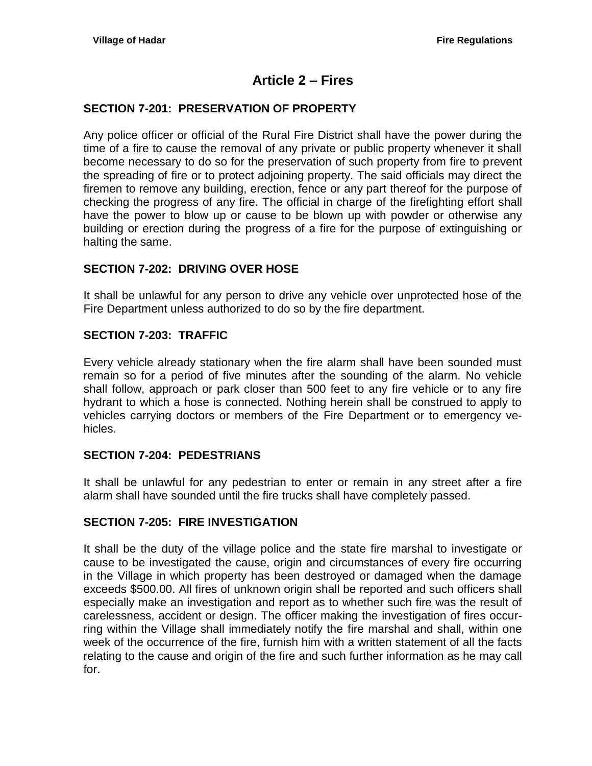## **Article 2 – Fires**

### <span id="page-4-1"></span><span id="page-4-0"></span>**SECTION 7-201: PRESERVATION OF PROPERTY**

Any police officer or official of the Rural Fire District shall have the power during the time of a fire to cause the removal of any private or public property whenever it shall become necessary to do so for the preservation of such property from fire to prevent the spreading of fire or to protect adjoining property. The said officials may direct the firemen to remove any building, erection, fence or any part thereof for the purpose of checking the progress of any fire. The official in charge of the firefighting effort shall have the power to blow up or cause to be blown up with powder or otherwise any building or erection during the progress of a fire for the purpose of extinguishing or halting the same.

#### <span id="page-4-2"></span>**SECTION 7-202: DRIVING OVER HOSE**

It shall be unlawful for any person to drive any vehicle over unprotected hose of the Fire Department unless authorized to do so by the fire department.

#### <span id="page-4-3"></span>**SECTION 7-203: TRAFFIC**

Every vehicle already stationary when the fire alarm shall have been sounded must remain so for a period of five minutes after the sounding of the alarm. No vehicle shall follow, approach or park closer than 500 feet to any fire vehicle or to any fire hydrant to which a hose is connected. Nothing herein shall be construed to apply to vehicles carrying doctors or members of the Fire Department or to emergency vehicles.

#### <span id="page-4-4"></span>**SECTION 7-204: PEDESTRIANS**

It shall be unlawful for any pedestrian to enter or remain in any street after a fire alarm shall have sounded until the fire trucks shall have completely passed.

#### <span id="page-4-5"></span>**SECTION 7-205: FIRE INVESTIGATION**

It shall be the duty of the village police and the state fire marshal to investigate or cause to be investigated the cause, origin and circumstances of every fire occurring in the Village in which property has been destroyed or damaged when the damage exceeds \$500.00. All fires of unknown origin shall be reported and such officers shall especially make an investigation and report as to whether such fire was the result of carelessness, accident or design. The officer making the investigation of fires occurring within the Village shall immediately notify the fire marshal and shall, within one week of the occurrence of the fire, furnish him with a written statement of all the facts relating to the cause and origin of the fire and such further information as he may call for.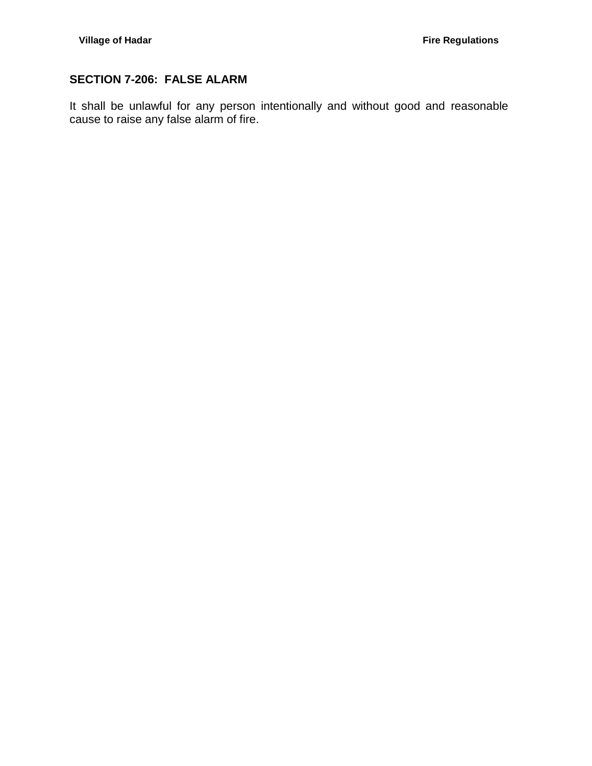## <span id="page-5-0"></span>**SECTION 7-206: FALSE ALARM**

It shall be unlawful for any person intentionally and without good and reasonable cause to raise any false alarm of fire.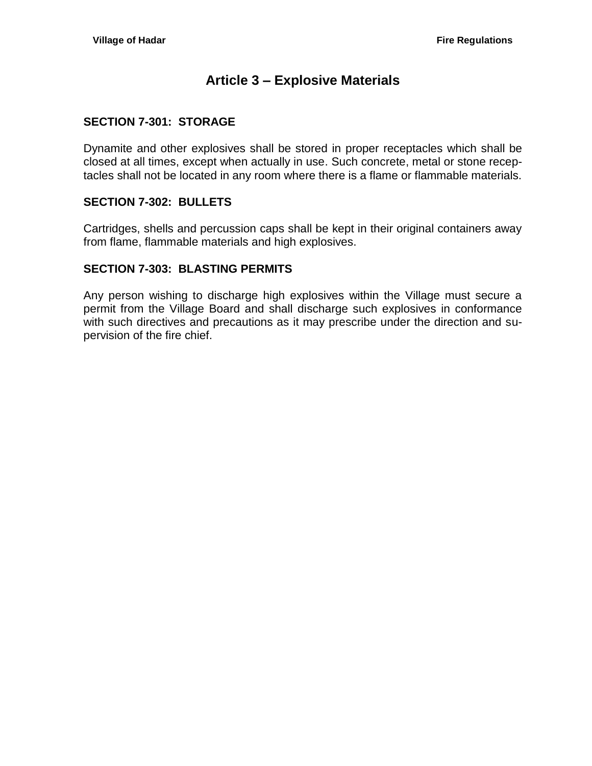## **Article 3 – Explosive Materials**

#### <span id="page-6-1"></span><span id="page-6-0"></span>**SECTION 7-301: STORAGE**

Dynamite and other explosives shall be stored in proper receptacles which shall be closed at all times, except when actually in use. Such concrete, metal or stone receptacles shall not be located in any room where there is a flame or flammable materials.

#### <span id="page-6-2"></span>**SECTION 7-302: BULLETS**

Cartridges, shells and percussion caps shall be kept in their original containers away from flame, flammable materials and high explosives.

#### <span id="page-6-3"></span>**SECTION 7-303: BLASTING PERMITS**

Any person wishing to discharge high explosives within the Village must secure a permit from the Village Board and shall discharge such explosives in conformance with such directives and precautions as it may prescribe under the direction and supervision of the fire chief.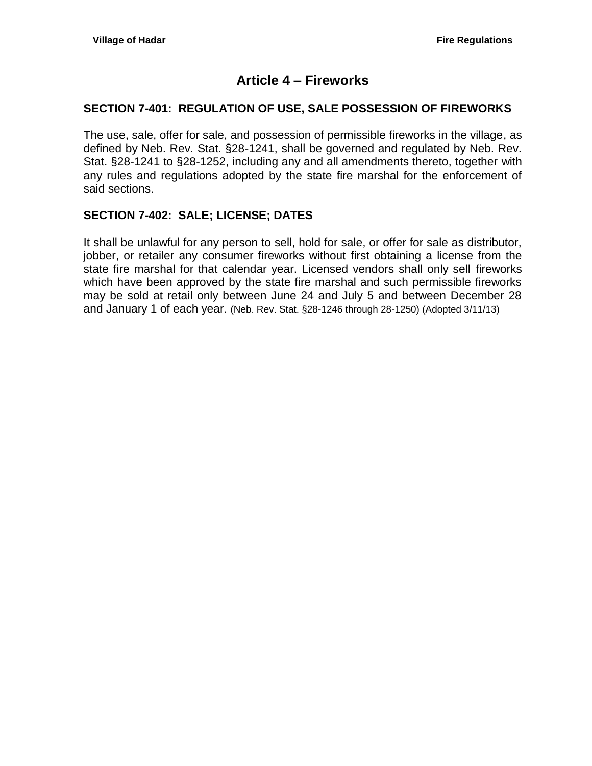## **Article 4 – Fireworks**

## <span id="page-8-1"></span><span id="page-8-0"></span>**SECTION 7-401: REGULATION OF USE, SALE POSSESSION OF FIREWORKS**

The use, sale, offer for sale, and possession of permissible fireworks in the village, as defined by Neb. Rev. Stat. §28-1241, shall be governed and regulated by Neb. Rev. Stat. §28-1241 to §28-1252, including any and all amendments thereto, together with any rules and regulations adopted by the state fire marshal for the enforcement of said sections.

#### <span id="page-8-2"></span>**SECTION 7-402: SALE; LICENSE; DATES**

It shall be unlawful for any person to sell, hold for sale, or offer for sale as distributor, jobber, or retailer any consumer fireworks without first obtaining a license from the state fire marshal for that calendar year. Licensed vendors shall only sell fireworks which have been approved by the state fire marshal and such permissible fireworks may be sold at retail only between June 24 and July 5 and between December 28 and January 1 of each year. (Neb. Rev. Stat. §28-1246 through 28-1250) (Adopted 3/11/13)